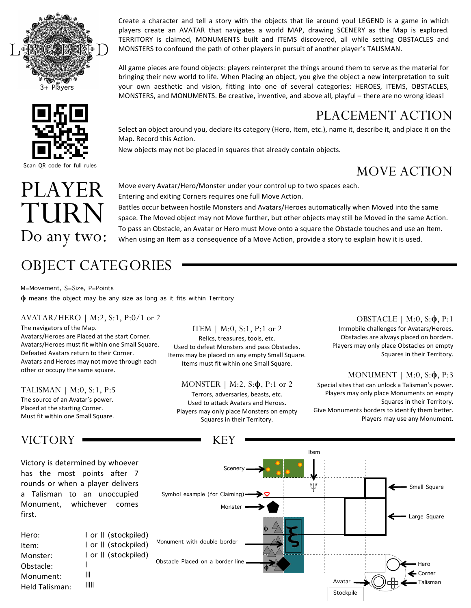



Scan QR code for full rules

Create a character and tell a story with the objects that lie around you! LEGEND is a game in which players create an AVATAR that navigates a world MAP, drawing SCENERY as the Map is explored. TERRITORY is claimed, MONUMENTS built and ITEMS discovered, all while setting OBSTACLES and MONSTERS to confound the path of other players in pursuit of another player's TALISMAN.

All game pieces are found objects: players reinterpret the things around them to serve as the material for bringing their new world to life. When Placing an object, you give the object a new interpretation to suit your own aesthetic and vision, fitting into one of several categories: HEROES, ITEMS, OBSTACLES, MONSTERS, and MONUMENTS. Be creative, inventive, and above all, playful – there are no wrong ideas!

# PLACEMENT ACTION

Select an object around you, declare its category (Hero, Item, etc.), name it, describe it, and place it on the Map. Record this Action.

Battles occur between hostile Monsters and Avatars/Heroes automatically when Moved into the same space. The Moved object may not Move further, but other objects may still be Moved in the same Action. To pass an Obstacle, an Avatar or Hero must Move onto a square the Obstacle touches and use an Item. When using an Item as a consequence of a Move Action, provide a story to explain how it is used.

New objects may not be placed in squares that already contain objects.

Entering and exiting Corners requires one full Move Action.

Move every Avatar/Hero/Monster under your control up to two spaces each.

# MOVE ACTION

PLAYER TURN Do any two:

# OBJECT CATEGORIES

M=Movement, S=Size, P=Points **ϕ** means the object may be any size as long as it fits within Territory

## AVATAR/HERO | M:2, S:1, P:0/1 or 2

The navigators of the Map. Avatars/Heroes are Placed at the start Corner. Avatars/Heroes must fit within one Small Square. Defeated Avatars return to their Corner. Avatars and Heroes may not move through each other or occupy the same square.

#### TALISMAN | M:0, S:1, P:5

The source of an Avatar's power. Placed at the starting Corner. Must fit within one Small Square.

# VICTORY

Victory is determined by whoever has the most points after 7 rounds or when a player delivers a Talisman to an unoccupied Monument, whichever comes first.

Hero: I or || (stockpiled) | or || (stockpiled) Item: | or || (stockpiled) Monster:  $\overline{1}$ | Obstacle: ||| Monument: ||||| Held Talisman: 

## ITEM | M:0, S:1, P:1 or 2

Relics, treasures, tools, etc. Used to defeat Monsters and pass Obstacles. Items may be placed on any empty Small Square. Items must fit within one Small Square.

MONSTER | M:2, S:**ϕ**, P:1 or 2

Terrors, adversaries, beasts, etc. Used to attack Avatars and Heroes. Players may only place Monsters on empty Squares in their Territory.

## OBSTACLE | M:0, S:**ϕ**, P:1

Immobile challenges for Avatars/Heroes. Obstacles are always placed on borders. Players may only place Obstacles on empty Squares in their Territory.

## MONUMENT | M:0, S:**ϕ**, P:3

Special sites that can unlock a Talisman's power. Players may only place Monuments on empty Squares in their Territory. Give Monuments borders to identify them better. Players may use any Monument.



KEY